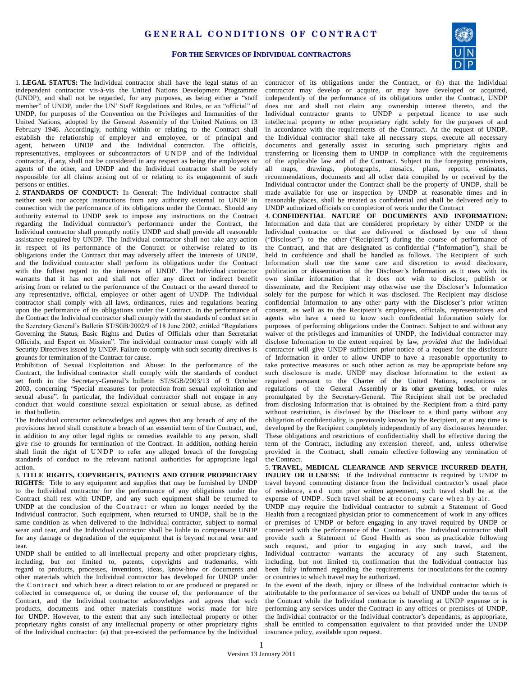## GENERAL CONDITIONS OF CONTRACT



## **FOR THE SERVICES OF INDIVIDUAL CONTRACTORS**

1. **LEGAL STATUS:** The Individual contractor shall have the legal status of an independent contractor vis-à-vis the United Nations Development Programme (UNDP), and shall not be regarded, for any purposes, as being either a "staff member" of UNDP, under the UN' Staff Regulations and Rules, or an "official" of UNDP, for purposes of the Convention on the Privileges and Immunities of the United Nations, adopted by the General Assembly of the United Nations on 13 February 1946. Accordingly, nothing within or relating to the Contract shall establish the relationship of employer and employee, or of principal and agent, between UNDP and the Individual contractor. The officials, representatives, employees or subcontractors of UNDP and of the Individual contractor, if any, shall not be considered in any respect as being the employees or agents of the other, and UNDP and the Individual contractor shall be solely responsible for all claims arising out of or relating to its engagement of such persons or entities.

2. **STANDARDS OF CONDUCT:** In General: The Individual contractor shall neither seek nor accept instructions from any authority external to UNDP in connection with the performance of its obligations under the Contract. Should any authority external to UNDP seek to impose any instructions on the Contract regarding the Individual contractor's performance under the Contract, the Individual contractor shall promptly notify UNDP and shall provide all reasonable assistance required by UNDP. The Individual contractor shall not take any action in respect of its performance of the Contract or otherwise related to its obligations under the Contract that may adversely affect the interests of UNDP, and the Individual contractor shall perform its obligations under the Contract with the fullest regard to the interests of UNDP. The Individual contractor warrants that it has not and shall not offer any direct or indirect benefit arising from or related to the performance of the Contract or the award thereof to any representative, official, employee or other agent of UNDP. The Individual contractor shall comply with all laws, ordinances, rules and regulations bearing upon the performance of its obligations under the Contract. In the performance of the Contract the Individual contractor shall comply with the standards of conduct set in the Secretary General's Bulletin ST/SGB/2002/9 of 18 June 2002, entitled "Regulations Governing the Status, Basic Rights and Duties of Officials other than Secretariat Officials, and Expert on Mission". The individual contractor must comply with all Security Directives issued by UNDP. Failure to comply with such security directives is grounds for termination of the Contract for cause.

Prohibition of Sexual Exploitation and Abuse: In the performance of the Contract, the Individual contractor shall comply with the standards of conduct set forth in the Secretary-General's bulletin ST/SGB/2003/13 of 9 October 2003, concerning "Special measures for protection from sexual exploitation and sexual abuse". In particular, the Individual contractor shall not engage in any conduct that would constitute sexual exploitation or sexual abuse, as defined in that bulletin.

The Individual contractor acknowledges and agrees that any breach of any of the provisions hereof shall constitute a breach of an essential term of the Contract, and, in addition to any other legal rights or remedies available to any person, shall give rise to grounds for termination of the Contract. In addition, nothing herein shall limit the right of UNDP to refer any alleged breach of the foregoing standards of conduct to the relevant national authorities for appropriate legal action.

3. **TITLE RIGHTS, COPYRIGHTS, PATENTS AND OTHER PROPRIETARY RIGHTS:** Title to any equipment and supplies that may be furnished by UNDP to the Individual contractor for the performance of any obligations under the Contract shall rest with UNDP, and any such equipment shall be returned to UNDP at the conclusion of the Contract or when no longer needed by the Individual contractor. Such equipment, when returned to UNDP, shall be in the same condition as when delivered to the Individual contractor, subject to normal wear and tear, and the Individual contractor shall be liable to compensate UNDP for any damage or degradation of the equipment that is beyond normal wear and tear.

UNDP shall be entitled to all intellectual property and other proprietary rights, including, but not limited to, patents, copyrights and trademarks, with regard to products, processes, inventions, ideas, know-how or documents and other materials which the Individual contractor has developed for UNDP under the Contract and which bear a direct relation to or are produced or prepared or collected in consequence of, or during the course of, the performance of the Contract, and the Individual contractor acknowledges and agrees that such products, documents and other materials constitute works made for hire for UNDP. However, to the extent that any such intellectual property or other proprietary rights consist of any intellectual property or other proprietary rights of the Individual contractor: (a) that pre-existed the performance by the Individual

contractor of its obligations under the Contract, or (b) that the Individual contractor may develop or acquire, or may have developed or acquired, independently of the performance of its obligations under the Contract, UNDP does not and shall not claim any ownership interest thereto, and the Individual contractor grants to UNDP a perpetual licence to use such intellectual property or other proprietary right solely for the purposes of and in accordance with the requirements of the Contract. At the request of UNDP, the Individual contractor shall take all necessary steps, execute all necessary documents and generally assist in securing such proprietary rights and transferring or licensing them to UNDP in compliance with the requirements of the applicable law and of the Contract. Subject to the foregoing provisions, all maps, drawings, photographs, mosaics, plans, reports, estimates, recommendations, documents and all other data compiled by or received by the Individual contractor under the Contract shall be the property of UNDP, shall be made available for use or inspection by UNDP at reasonable times and in reasonable places, shall be treated as confidential and shall be delivered only to UNDP authorized officials on completion of work under the Contract

4. **CONFIDENTIAL NATURE OF DOCUMENTS AND INFORMATION:** Information and data that are considered proprietary by either UNDP or the Individual contractor or that are delivered or disclosed by one of them ("Discloser") to the other ("Recipient") during the course of performance of the Contract, and that are designated as confidential ("Information"), shall be held in confidence and shall be handled as follows. The Recipient of such Information shall use the same care and discretion to avoid disclosure, publication or dissemination of the Discloser's Information as it uses with its own similar information that it does not wish to disclose, publish or disseminate, and the Recipient may otherwise use the Discloser's Information solely for the purpose for which it was disclosed. The Recipient may disclose confidential Information to any other party with the Discloser's prior written consent, as well as to the Recipient's employees, officials, representatives and agents who have a need to know such confidential Information solely for purposes of performing obligations under the Contract. Subject to and without any waiver of the privileges and immunities of UNDP, the Individual contractor may disclose Information to the extent required by law, *provided that* the Individual contractor will give UNDP sufficient prior notice of a request for the disclosure of Information in order to allow UNDP to have a reasonable opportunity to take protective measures or such other action as may be appropriate before any such disclosure is made. UNDP may disclose Information to the extent as required pursuant to the Charter of the United Nations, resolutions or regulations of the General Assembly or its other governing bodies, or rules promulgated by the Secretary-General. The Recipient shall not be precluded from disclosing Information that is obtained by the Recipient from a third party without restriction, is disclosed by the Discloser to a third party without any obligation of confidentiality, is previously known by the Recipient, or at any time is developed by the Recipient completely independently of any disclosures hereunder. These obligations and restrictions of confidentiality shall be effective during the term of the Contract, including any extension thereof, and, unless otherwise provided in the Contract, shall remain effective following any termination of the Contract.

5. **TRAVEL, MEDICAL CLEARANCE AND SERVICE INCURRED DEATH, INJURY OR ILLNESS:** If the Individual contractor is required by UNDP to travel beyond commuting distance from the Individual contractor's usual place of residence, a n d upon prior written agreement, such travel shall be at the expense of UNDP. Such travel shall be at economy care when by air.

UNDP may require the Individual contractor to submit a Statement of Good Health from a recognized physician prior to commencement of work in any offices or premises of UNDP or before engaging in any travel required by UNDP or connected with the performance of the Contract. The Individual contractor shall provide such a Statement of Good Health as soon as practicable following such request, and prior to engaging in any such travel, and the Individual contractor warrants the accuracy of any such Statement, including, but not limited to, confirmation that the Individual contractor has been fully informed regarding the requirements for inoculations for the country or countries to which travel may be authorized.

In the event of the death, injury or illness of the Individual contractor which is attributable to the performance of services on behalf of UNDP under the terms of the Contract while the Individual contractor is traveling at UNDP expense or is performing any services under the Contract in any offices or premises of UNDP, the Individual contractor or the Individual contractor's dependants, as appropriate, shall be entitled to compensation equivalent to that provided under the UNDP insurance policy, available upon request.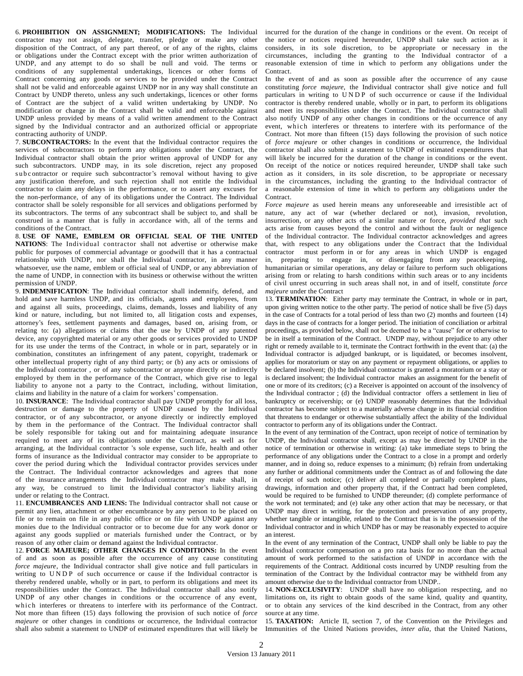6. **PROHIBITION ON ASSIGNMENT; MODIFICATIONS:** The Individual contractor may not assign, delegate, transfer, pledge or make any other disposition of the Contract, of any part thereof, or of any of the rights, claims or obligations under the Contract except with the prior written authorization of UNDP, and any attempt to do so shall be null and void. The terms or conditions of any supplemental undertakings, licences or other forms of Contract concerning any goods or services to be provided under the Contract shall not be valid and enforceable against UNDP nor in any way shall constitute an Contract by UNDP thereto, unless any such undertakings, licences or other forms of Contract are the subject of a valid written undertaking by UNDP. No modification or change in the Contract shall be valid and enforceable against UNDP unless provided by means of a valid written amendment to the Contract signed by the Individual contractor and an authorized official or appropriate contracting authority of UNDP.

7. **SUBCONTRACTORS:** In the event that the Individual contractor requires the services of subcontractors to perform any obligations under the Contract, the Individual contractor shall obtain the prior written approval of UNDP for any such subcontractors. UNDP may, in its sole discretion, reject any proposed subcontractor or require such subcontractor's removal without having to give any justification therefore, and such rejection shall not entitle the Individual contractor to claim any delays in the performance, or to assert any excuses for the non-performance, of any of its obligations under the Contract. The Individual contractor shall be solely responsible for all services and obligations performed by its subcontractors. The terms of any subcontract shall be subject to, and shall be construed in a manner that is fully in accordance with, all of the terms and conditions of the Contract.

8. **USE OF NAME, EMBLEM OR OFFICIAL SEAL OF THE UNITED NATIONS**: The Individual contractor shall not advertise or otherwise make public for purposes of commercial advantage or goodwill that it has a contractual relationship with UNDP, nor shall the Individual contractor, in any manner whatsoever, use the name, emblem or official seal of UNDP, or any abbreviation of the name of UNDP, in connection with its business or otherwise without the written permission of UNDP.

9. **INDEMNIFICATION**: The Individual contractor shall indemnify, defend, and hold and save harmless UNDP, and its officials, agents and employees, from and against all suits, proceedings, claims, demands, losses and liability of any kind or nature, including, but not limited to, all litigation costs and expenses, attorney's fees, settlement payments and damages, based on, arising from, or relating to: (a) allegations or claims that the use by UNDP of any patented device, any copyrighted material or any other goods or services provided to UNDP for its use under the terms of the Contract, in whole or in part, separately or in combination, constitutes an infringement of any patent, copyright, trademark or other intellectual property right of any third party; or (b) any acts or omissions of the Individual contractor , or of any subcontractor or anyone directly or indirectly employed by them in the performance of the Contract, which give rise to legal liability to anyone not a party to the Contract, including, without limitation, claims and liability in the nature of a claim for workers' compensation.

10. **INSURANCE**: The Individual contractor shall pay UNDP promptly for all loss, destruction or damage to the property of UNDP caused by the Individual contractor, or of any subcontractor, or anyone directly or indirectly employed by them in the performance of the Contract. The Individual contractor shall be solely responsible for taking out and for maintaining adequate insurance required to meet any of its obligations under the Contract, as well as for arranging, at the Individual contractor 's sole expense, such life, health and other forms of insurance as the Individual contractor may consider to be appropriate to cover the period during which the Individual contractor provides services under the Contract. The Individual contractor acknowledges and agrees that none of the insurance arrangements the Individual contractor may make shall, in any way, be construed to limit the Individual contractor's liability arising under or relating to the Contract.

11. **ENCUMBRANCES AND LIENS:** The Individual contractor shall not cause or permit any lien, attachment or other encumbrance by any person to be placed on file or to remain on file in any public office or on file with UNDP against any monies due to the Individual contractor or to become due for any work donor or against any goods supplied or materials furnished under the Contract, or by reason of any other claim or demand against the Individual contractor.

12. **FORCE MAJEURE; OTHER CHANGES IN CONDITIONS:** In the event of and as soon as possible after the occurrence of any cause constituting *force majeure*, the Individual contractor shall give notice and full particulars in writing to UNDP of such occurrence or cause if the Individual contractor is thereby rendered unable, wholly or in part, to perform its obligations and meet its responsibilities under the Contract. The Individual contractor shall also notify UNDP of any other changes in conditions or the occurrence of any event, which interferes or threatens to interfere with its performance of the Contract. Not more than fifteen (15) days following the provision of such notice of *force majeure* or other changes in conditions or occurrence, the Individual contractor shall also submit a statement to UNDP of estimated expenditures that will likely be

incurred for the duration of the change in conditions or the event. On receipt of the notice or notices required hereunder, UNDP shall take such action as it considers, in its sole discretion, to be appropriate or necessary in the circumstances, including the granting to the Individual contractor of a reasonable extension of time in which to perform any obligations under the Contract.

In the event of and as soon as possible after the occurrence of any cause constituting *force majeure*, the Individual contractor shall give notice and full particulars in writing to UNDP of such occurrence or cause if the Individual contractor is thereby rendered unable, wholly or in part, to perform its obligations and meet its responsibilities under the Contract. The Individual contractor shall also notify UNDP of any other changes in conditions or the occurrence of any event, which interferes or threatens to interfere with its performance of the Contract. Not more than fifteen (15) days following the provision of such notice of *force majeure* or other changes in conditions or occurrence, the Individual contractor shall also submit a statement to UNDP of estimated expenditures that will likely be incurred for the duration of the change in conditions or the event. On receipt of the notice or notices required hereunder, UNDP shall take such action as it considers, in its sole discretion, to be appropriate or necessary in the circumstances, including the granting to the Individual contractor of a reasonable extension of time in which to perform any obligations under the Contract.

*Force majeure* as used herein means any unforeseeable and irresistible act of nature, any act of war (whether declared or not), invasion, revolution, insurrection, or any other acts of a similar nature or force, *provided that* such acts arise from causes beyond the control and without the fault or negligence of the Individual contractor. The Individual contractor acknowledges and agrees that, with respect to any obligations under the Contract that the Individual contractor must perform in or for any areas in which UNDP is engaged in, preparing to engage in, or disengaging from any peacekeeping, humanitarian or similar operations, any delay or failure to perform such obligations arising from or relating to harsh conditions within such areas or to any incidents of civil unrest occurring in such areas shall not, in and of itself, constitute *force majeure* under the Contract

13. **TERMINATION**: Either party may terminate the Contract, in whole or in part, upon giving written notice to the other party. The period of notice shall be five (5) days in the case of Contracts for a total period of less than two (2) months and fourteen (14) days in the case of contracts for a longer period. The initiation of conciliation or arbitral proceedings, as provided below, shall not be deemed to be a "cause" for or otherwise to be in itself a termination of the Contract. UNDP may, without prejudice to any other right or remedy available to it, terminate the Contract forthwith in the event that: (a) the Individual contractor is adjudged bankrupt, or is liquidated, or becomes insolvent, applies for moratorium or stay on any payment or repayment obligations, or applies to be declared insolvent; (b) the Individual contractor is granted a moratorium or a stay or is declared insolvent; the Individual contractor makes an assignment for the benefit of one or more of its creditors; (c) a Receiver is appointed on account of the insolvency of the Individual contractor ; (d) the Individual contractor offers a settlement in lieu of bankruptcy or receivership; or (e) UNDP reasonably determines that the Individual contractor has become subject to a materially adverse change in its financial condition that threatens to endanger or otherwise substantially affect the ability of the Individual contractor to perform any of its obligations under the Contract.

In the event of any termination of the Contract, upon receipt of notice of termination by UNDP, the Individual contractor shall, except as may be directed by UNDP in the notice of termination or otherwise in writing: (a) take immediate steps to bring the performance of any obligations under the Contract to a close in a prompt and orderly manner, and in doing so, reduce expenses to a minimum; (b) refrain from undertaking any further or additional commitments under the Contract as of and following the date of receipt of such notice; (c) deliver all completed or partially completed plans, drawings, information and other property that, if the Contract had been completed, would be required to be furnished to UNDP thereunder; (d) complete performance of the work not terminated; and (e) take any other action that may be necessary, or that UNDP may direct in writing, for the protection and preservation of any property, whether tangible or intangible, related to the Contract that is in the possession of the Individual contractor and in which UNDP has or may be reasonably expected to acquire an interest.

In the event of any termination of the Contract, UNDP shall only be liable to pay the Individual contractor compensation on a pro rata basis for no more than the actual amount of work performed to the satisfaction of UNDP in accordance with the requirements of the Contract. Additional costs incurred by UNDP resulting from the termination of the Contract by the Individual contractor may be withheld from any amount otherwise due to the Individual contractor from UNDP..

14. **NON-EXCLUSIVITY**: UNDP shall have no obligation respecting, and no limitations on, its right to obtain goods of the same kind, quality and quantity, or to obtain any services of the kind described in the Contract, from any other source at any time.

15. **TAXATION:** Article II, section 7, of the Convention on the Privileges and Immunities of the United Nations provides, *inter alia*, that the United Nations,